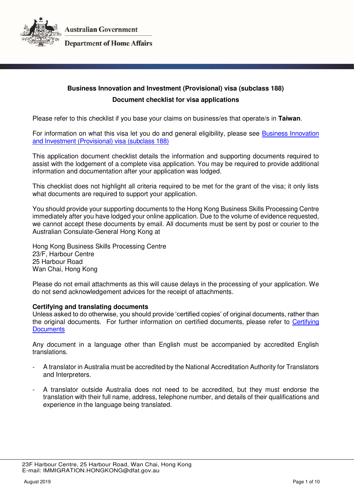

### **Department of Home Affairs**

# **Business Innovation and Investment (Provisional) visa (subclass 188) Document checklist for visa applications**

Please refer to this checklist if you base your claims on business/es that operate/s in **Taiwan**.

For information on what this visa let you do and general eligibility, please see [Business Innovation](https://immi.homeaffairs.gov.au/visas/getting-a-visa/visa-listing/business-innovation-and-investment-188)  [and Investment \(Provisional\) visa \(subclass 188\)](https://immi.homeaffairs.gov.au/visas/getting-a-visa/visa-listing/business-innovation-and-investment-188) 

This application document checklist details the information and supporting documents required to assist with the lodgement of a complete visa application. You may be required to provide additional information and documentation after your application was lodged.

This checklist does not highlight all criteria required to be met for the grant of the visa; it only lists what documents are required to support your application.

You should provide your supporting documents to the Hong Kong Business Skills Processing Centre immediately after you have lodged your online application. Due to the volume of evidence requested, we cannot accept these documents by email. All documents must be sent by post or courier to the Australian Consulate-General Hong Kong at

Hong Kong Business Skills Processing Centre 23/F, Harbour Centre 25 Harbour Road Wan Chai, Hong Kong

Please do not email attachments as this will cause delays in the processing of your application. We do not send acknowledgement advices for the receipt of attachments.

#### **Certifying and translating documents**

Unless asked to do otherwise, you should provide 'certified copies' of original documents, rather than the original documents. For further information on certified documents, please refer to [Certifying](https://immi.homeaffairs.gov.au/help-support/applying-online-or-on-paper/on-paper/certified-copy)  **Documents** 

Any document in a language other than English must be accompanied by accredited English translations.

- A translator in Australia must be accredited by the National Accreditation Authority for Translators and Interpreters.
- A translator outside Australia does not need to be accredited, but they must endorse the translation with their full name, address, telephone number, and details of their qualifications and experience in the language being translated.

 <sup>23</sup>F Harbour Centre, 25 Harbour Road, Wan Chai, Hong Kong E-mail: IMMIGRATION.HONGKONG@dfat.gov.au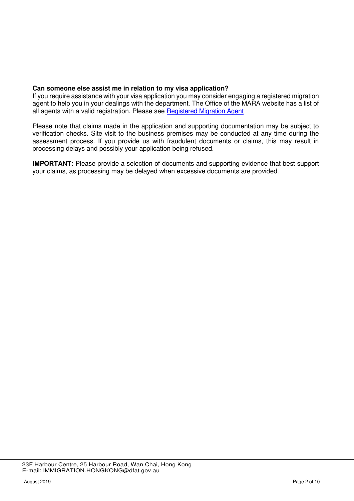### **Can someone else assist me in relation to my visa application?**

If you require assistance with your visa application you may consider engaging a registered migration agent to help you in your dealings with the department. The Office of the MARA website has a list of all agents with a valid registration. Please see [Registered Migration Agent](https://www.mara.gov.au/)

Please note that claims made in the application and supporting documentation may be subject to verification checks. Site visit to the business premises may be conducted at any time during the assessment process. If you provide us with fraudulent documents or claims, this may result in processing delays and possibly your application being refused.

**IMPORTANT:** Please provide a selection of documents and supporting evidence that best support your claims, as processing may be delayed when excessive documents are provided.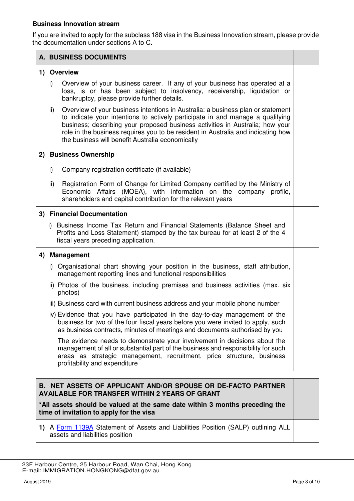### **Business Innovation stream**

If you are invited to apply for the subclass 188 visa in the Business Innovation stream, please provide the documentation under sections A to C.

# **A. BUSINESS DOCUMENTS 1) Overview**  i) Overview of your business career. If any of your business has operated at a loss, is or has been subject to insolvency, receivership, liquidation or bankruptcy, please provide further details. ii) Overview of your business intentions in Australia: a business plan or statement to indicate your intentions to actively participate in and manage a qualifying business; describing your proposed business activities in Australia; how your role in the business requires you to be resident in Australia and indicating how the business will benefit Australia economically **2) Business Ownership**  i) Company registration certificate (if available) ii) Registration Form of Change for Limited Company certified by the Ministry of Economic Affairs (MOEA), with information on the company profile, shareholders and capital contribution for the relevant years **3) Financial Documentation**  i) Business Income Tax Return and Financial Statements (Balance Sheet and Profits and Loss Statement) stamped by the tax bureau for at least 2 of the 4 fiscal years preceding application. **4) Management**  i) Organisational chart showing your position in the business, staff attribution, management reporting lines and functional responsibilities ii) Photos of the business, including premises and business activities (max. six photos) iii) Business card with current business address and your mobile phone number iv) Evidence that you have participated in the day-to-day management of the business for two of the four fiscal years before you were invited to apply, such as business contracts, minutes of meetings and documents authorised by you The evidence needs to demonstrate your involvement in decisions about the management of all or substantial part of the business and responsibility for such areas as strategic management, recruitment, price structure, business profitability and expenditure

# **B. NET ASSETS OF APPLICANT AND/OR SPOUSE OR DE-FACTO PARTNER AVAILABLE FOR TRANSFER WITHIN 2 YEARS OF GRANT**

**\*All assets should be valued at the same date within 3 months preceding the time of invitation to apply for the visa** 

**1)** A [Form 1139A](https://immi.homeaffairs.gov.au/form-listing/forms/1139a.pdf) Statement of Assets and Liabilities Position (SALP) outlining ALL assets and liabilities position

 <sup>23</sup>F Harbour Centre, 25 Harbour Road, Wan Chai, Hong Kong E-mail: IMMIGRATION.HONGKONG@dfat.gov.au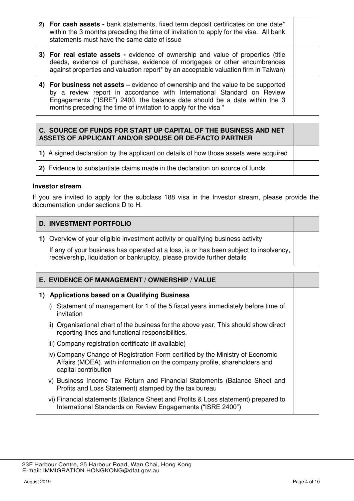- **2) For cash assets** bank statements, fixed term deposit certificates on one date\* within the 3 months preceding the time of invitation to apply for the visa. All bank statements must have the same date of issue
- **3) For real estate assets** evidence of ownership and value of properties (title deeds, evidence of purchase, evidence of mortgages or other encumbrances against properties and valuation report\* by an acceptable valuation firm in Taiwan)
- **4) For business net assets –** evidence of ownership and the value to be supported by a review report in accordance with International Standard on Review Engagements ("ISRE") 2400, the balance date should be a date within the 3 months preceding the time of invitation to apply for the visa \*

# **C. SOURCE OF FUNDS FOR START UP CAPITAL OF THE BUSINESS AND NET ASSETS OF APPLICANT AND/OR SPOUSE OR DE-FACTO PARTNER**

**1)** A signed declaration by the applicant on details of how those assets were acquired

**2)** Evidence to substantiate claims made in the declaration on source of funds

#### **Investor stream**

If you are invited to apply for the subclass 188 visa in the Investor stream, please provide the documentation under sections D to H.

### **D. INVESTMENT PORTFOLIO**

**1)** Overview of your eligible investment activity or qualifying business activity

If any of your business has operated at a loss, is or has been subject to insolvency, receivership, liquidation or bankruptcy, please provide further details

# **E. EVIDENCE OF MANAGEMENT / OWNERSHIP / VALUE**

### **1) Applications based on a Qualifying Business**

- i) Statement of management for 1 of the 5 fiscal years immediately before time of invitation
- ii) Organisational chart of the business for the above year. This should show direct reporting lines and functional responsibilities.
- iii) Company registration certificate (if available)
- iv) Company Change of Registration Form certified by the Ministry of Economic Affairs (MOEA). with information on the company profile, shareholders and capital contribution
- v) Business Income Tax Return and Financial Statements (Balance Sheet and Profits and Loss Statement) stamped by the tax bureau
- vi) Financial statements (Balance Sheet and Profits & Loss statement) prepared to International Standards on Review Engagements ("ISRE 2400")

 <sup>23</sup>F Harbour Centre, 25 Harbour Road, Wan Chai, Hong Kong E-mail: IMMIGRATION.HONGKONG@dfat.gov.au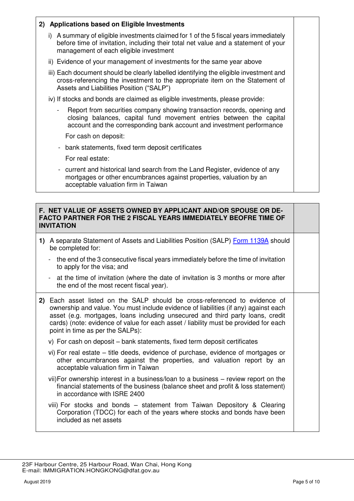# **2) Applications based on Eligible Investments**  i) A summary of eligible investments claimed for 1 of the 5 fiscal years immediately before time of invitation, including their total net value and a statement of your management of each eligible investment ii) Evidence of your management of investments for the same year above iii) Each document should be clearly labelled identifying the eligible investment and cross-referencing the investment to the appropriate item on the Statement of Assets and Liabilities Position ("SALP") iv) If stocks and bonds are claimed as eligible investments, please provide: Report from securities company showing transaction records, opening and closing balances, capital fund movement entries between the capital account and the corresponding bank account and investment performance For cash on deposit: - bank statements, fixed term deposit certificates For real estate: - current and historical land search from the Land Register, evidence of any mortgages or other encumbrances against properties, valuation by an acceptable valuation firm in Taiwan

# **F. NET VALUE OF ASSETS OWNED BY APPLICANT AND/OR SPOUSE OR DE-FACTO PARTNER FOR THE 2 FISCAL YEARS IMMEDIATELY BEOFRE TIME OF INVITATION 1)** A separate Statement of Assets and Liabilities Position (SALP) [Form 1139A](https://immi.homeaffairs.gov.au/form-listing/forms/1139a.pdf) should be completed for: - the end of the 3 consecutive fiscal years immediately before the time of invitation to apply for the visa; and - at the time of invitation (where the date of invitation is 3 months or more after the end of the most recent fiscal year). **2)** Each asset listed on the SALP should be cross-referenced to evidence of ownership and value. You must include evidence of liabilities (if any) against each asset (e.g. mortgages, loans including unsecured and third party loans, credit cards) (note: evidence of value for each asset / liability must be provided for each point in time as per the SALPs): v) For cash on deposit – bank statements, fixed term deposit certificates vi) For real estate – title deeds, evidence of purchase, evidence of mortgages or other encumbrances against the properties, and valuation report by an acceptable valuation firm in Taiwan vii) For ownership interest in a business/loan to a business – review report on the financial statements of the business (balance sheet and profit & loss statement) in accordance with ISRE 2400 viii) For stocks and bonds – statement from Taiwan Depository & Clearing Corporation (TDCC) for each of the years where stocks and bonds have been included as net assets

 <sup>23</sup>F Harbour Centre, 25 Harbour Road, Wan Chai, Hong Kong E-mail: IMMIGRATION.HONGKONG@dfat.gov.au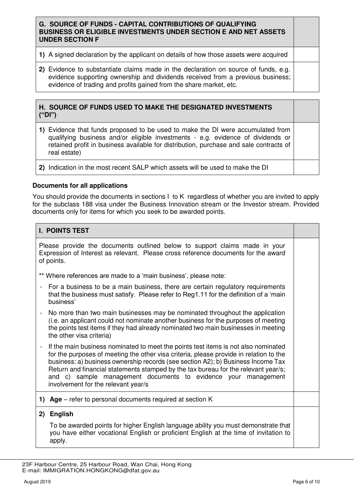# **G. SOURCE OF FUNDS - CAPITAL CONTRIBUTIONS OF QUALIFYING BUSINESS OR ELIGIBLE INVESTMENTS UNDER SECTION E AND NET ASSETS UNDER SECTION F**

- **1)** A signed declaration by the applicant on details of how those assets were acquired
- **2)** Evidence to substantiate claims made in the declaration on source of funds, e.g. evidence supporting ownership and dividends received from a previous business; evidence of trading and profits gained from the share market, etc.

### **H. SOURCE OF FUNDS USED TO MAKE THE DESIGNATED INVESTMENTS ("DI")**

- **1)** Evidence that funds proposed to be used to make the DI were accumulated from qualifying business and/or eligible investments - e.g. evidence of dividends or retained profit in business available for distribution, purchase and sale contracts of real estate)
- **2)** Indication in the most recent SALP which assets will be used to make the DI

### **Documents for all applications**

You should provide the documents in sections I to K regardless of whether you are invited to apply for the subclass 188 visa under the Business Innovation stream or the Investor stream. Provided documents only for items for which you seek to be awarded points.

# **I. POINTS TEST**

Please provide the documents outlined below to support claims made in your Expression of Interest as relevant. Please cross reference documents for the award of points.

- \*\* Where references are made to a 'main business', please note:
- For a business to be a main business, there are certain regulatory requirements that the business must satisfy. Please refer to Reg1.11 for the definition of a 'main business'
- No more than two main businesses may be nominated throughout the application (i.e. an applicant could not nominate another business for the purposes of meeting the points test items if they had already nominated two main businesses in meeting the other visa criteria)
- If the main business nominated to meet the points test items is not also nominated for the purposes of meeting the other visa criteria, please provide in relation to the business: a) business ownership records (see section A2); b) Business Income Tax Return and financial statements stamped by the tax bureau for the relevant year/s; and c) sample management documents to evidence your management involvement for the relevant year/s
- **1) Age**  refer to personal documents required at section K

### **2) English**

To be awarded points for higher English language ability you must demonstrate that you have either vocational English or proficient English at the time of invitation to apply.

 <sup>23</sup>F Harbour Centre, 25 Harbour Road, Wan Chai, Hong Kong E-mail: IMMIGRATION.HONGKONG@dfat.gov.au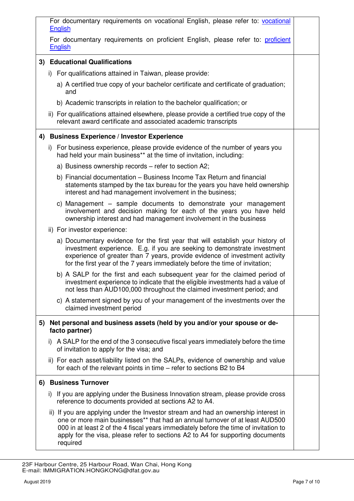|    | For documentary requirements on vocational English, please refer to: vocational<br>English |                                                                                                                                                                                                                                                                                                                                              |  |  |
|----|--------------------------------------------------------------------------------------------|----------------------------------------------------------------------------------------------------------------------------------------------------------------------------------------------------------------------------------------------------------------------------------------------------------------------------------------------|--|--|
|    | English                                                                                    | For documentary requirements on proficient English, please refer to: proficient                                                                                                                                                                                                                                                              |  |  |
|    |                                                                                            | 3) Educational Qualifications                                                                                                                                                                                                                                                                                                                |  |  |
|    |                                                                                            | i) For qualifications attained in Taiwan, please provide:                                                                                                                                                                                                                                                                                    |  |  |
|    | and                                                                                        | a) A certified true copy of your bachelor certificate and certificate of graduation;                                                                                                                                                                                                                                                         |  |  |
|    |                                                                                            | b) Academic transcripts in relation to the bachelor qualification; or                                                                                                                                                                                                                                                                        |  |  |
|    |                                                                                            | ii) For qualifications attained elsewhere, please provide a certified true copy of the<br>relevant award certificate and associated academic transcripts                                                                                                                                                                                     |  |  |
|    |                                                                                            | 4) Business Experience / Investor Experience                                                                                                                                                                                                                                                                                                 |  |  |
|    |                                                                                            | i) For business experience, please provide evidence of the number of years you<br>had held your main business** at the time of invitation, including:                                                                                                                                                                                        |  |  |
|    |                                                                                            | a) Business ownership records - refer to section A2;                                                                                                                                                                                                                                                                                         |  |  |
|    |                                                                                            | b) Financial documentation – Business Income Tax Return and financial<br>statements stamped by the tax bureau for the years you have held ownership<br>interest and had management involvement in the business;                                                                                                                              |  |  |
|    |                                                                                            | c) Management – sample documents to demonstrate your management<br>involvement and decision making for each of the years you have held<br>ownership interest and had management involvement in the business                                                                                                                                  |  |  |
|    | ii) For investor experience:                                                               |                                                                                                                                                                                                                                                                                                                                              |  |  |
|    |                                                                                            | a) Documentary evidence for the first year that will establish your history of<br>investment experience. E.g. if you are seeking to demonstrate investment<br>experience of greater than 7 years, provide evidence of investment activity<br>for the first year of the 7 years immediately before the time of invitation;                    |  |  |
|    |                                                                                            | b) A SALP for the first and each subsequent year for the claimed period of<br>investment experience to indicate that the eligible investments had a value of<br>not less than AUD100,000 throughout the claimed investment period; and                                                                                                       |  |  |
|    | claimed investment period                                                                  | c) A statement signed by you of your management of the investments over the                                                                                                                                                                                                                                                                  |  |  |
| 5) | facto partner)                                                                             | Net personal and business assets (held by you and/or your spouse or de-                                                                                                                                                                                                                                                                      |  |  |
|    |                                                                                            | i) A SALP for the end of the 3 consecutive fiscal years immediately before the time<br>of invitation to apply for the visa; and                                                                                                                                                                                                              |  |  |
|    |                                                                                            | ii) For each asset/liability listed on the SALPs, evidence of ownership and value<br>for each of the relevant points in time – refer to sections B2 to B4                                                                                                                                                                                    |  |  |
|    | 6) Business Turnover                                                                       |                                                                                                                                                                                                                                                                                                                                              |  |  |
|    |                                                                                            | i) If you are applying under the Business Innovation stream, please provide cross<br>reference to documents provided at sections A2 to A4.                                                                                                                                                                                                   |  |  |
|    | required                                                                                   | ii) If you are applying under the Investor stream and had an ownership interest in<br>one or more main businesses** that had an annual turnover of at least AUD500<br>000 in at least 2 of the 4 fiscal years immediately before the time of invitation to<br>apply for the visa, please refer to sections A2 to A4 for supporting documents |  |  |

 <sup>23</sup>F Harbour Centre, 25 Harbour Road, Wan Chai, Hong Kong E-mail: IMMIGRATION.HONGKONG@dfat.gov.au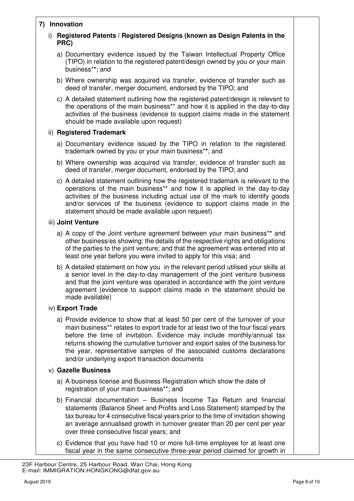# **7) Innovation**

| <u>IIIIIUvalivii</u> |  |                                                                                                                                                                                                                                                                                                                                                                                                                                                           |  |  |  |
|----------------------|--|-----------------------------------------------------------------------------------------------------------------------------------------------------------------------------------------------------------------------------------------------------------------------------------------------------------------------------------------------------------------------------------------------------------------------------------------------------------|--|--|--|
| i)                   |  | Registered Patents / Registered Designs (known as Design Patents in the<br>PRC)                                                                                                                                                                                                                                                                                                                                                                           |  |  |  |
|                      |  | a) Documentary evidence issued by the Taiwan Intellectual Property Office<br>(TIPO) in relation to the registered patent/design owned by you or your main<br>business**; and                                                                                                                                                                                                                                                                              |  |  |  |
|                      |  | b) Where ownership was acquired via transfer, evidence of transfer such as<br>deed of transfer, merger document, endorsed by the TIPO; and                                                                                                                                                                                                                                                                                                                |  |  |  |
|                      |  | c) A detailed statement outlining how the registered patent/design is relevant to<br>the operations of the main business** and how it is applied in the day-to-day<br>activities of the business (evidence to support claims made in the statement<br>should be made available upon request)                                                                                                                                                              |  |  |  |
|                      |  | ii) Registered Trademark                                                                                                                                                                                                                                                                                                                                                                                                                                  |  |  |  |
|                      |  | a) Documentary evidence issued by the TIPO in relation to the registered<br>trademark owned by you or your main business**; and                                                                                                                                                                                                                                                                                                                           |  |  |  |
|                      |  | b) Where ownership was acquired via transfer, evidence of transfer such as<br>deed of transfer, merger document, endorsed by the TIPO; and                                                                                                                                                                                                                                                                                                                |  |  |  |
|                      |  | c) A detailed statement outlining how the registered trademark is relevant to the<br>operations of the main business** and how it is applied in the day-to-day<br>activities of the business including actual use of the mark to identify goods<br>and/or services of the business (evidence to support claims made in the<br>statement should be made available upon request)                                                                            |  |  |  |
|                      |  | iii) Joint Venture                                                                                                                                                                                                                                                                                                                                                                                                                                        |  |  |  |
|                      |  | a) A copy of the Joint venture agreement between your main business** and<br>other business/es showing: the details of the respective rights and obligations<br>of the parties to the joint venture; and that the agreement was entered into at<br>least one year before you were invited to apply for this visa; and                                                                                                                                     |  |  |  |
|                      |  | b) A detailed statement on how you in the relevant period utilised your skills at<br>a senior level in the day-to-day management of the joint venture business<br>and that the joint venture was operated in accordance with the joint venture<br>agreement (evidence to support claims made in the statement should be<br>made available)                                                                                                                |  |  |  |
|                      |  | iv) Export Trade                                                                                                                                                                                                                                                                                                                                                                                                                                          |  |  |  |
|                      |  | a) Provide evidence to show that at least 50 per cent of the turnover of your<br>main business** relates to export trade for at least two of the four fiscal years<br>before the time of invitation. Evidence may include monthly/annual tax<br>returns showing the cumulative turnover and export sales of the business for<br>the year, representative samples of the associated customs declarations<br>and/or underlying export transaction documents |  |  |  |
|                      |  | v) Gazelle Business                                                                                                                                                                                                                                                                                                                                                                                                                                       |  |  |  |
|                      |  | a) A business license and Business Registration which show the date of<br>registration of your main business**; and                                                                                                                                                                                                                                                                                                                                       |  |  |  |
|                      |  | b) Financial documentation - Business Income Tax Return and financial<br>statements (Balance Sheet and Profits and Loss Statement) stamped by the<br>tax bureau for 4 consecutive fiscal years prior to the time of invitation showing<br>an average annualised growth in turnover greater than 20 per cent per year<br>over three consecutive fiscal years; and                                                                                          |  |  |  |
|                      |  | c) Evidence that you have had 10 or more full-time employee for at least one                                                                                                                                                                                                                                                                                                                                                                              |  |  |  |

fiscal year in the same consecutive three-year period claimed for growth in

 <sup>23</sup>F Harbour Centre, 25 Harbour Road, Wan Chai, Hong Kong E-mail: IMMIGRATION.HONGKONG@dfat.gov.au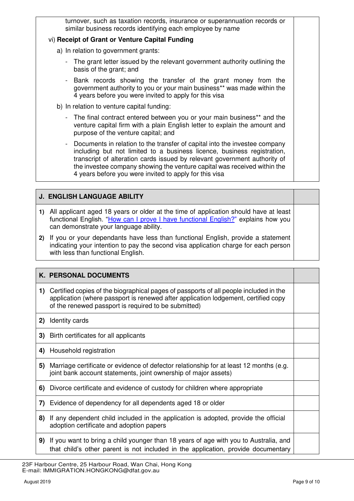| turnover, such as taxation records, insurance or superannuation records or |  |  |  |
|----------------------------------------------------------------------------|--|--|--|
| similar business records identifying each employee by name                 |  |  |  |
| vi) Receipt of Grant or Venture Capital Funding                            |  |  |  |

- a) In relation to government grants:
	- The grant letter issued by the relevant government authority outlining the basis of the grant; and
	- Bank records showing the transfer of the grant money from the government authority to you or your main business\*\* was made within the 4 years before you were invited to apply for this visa
- b) In relation to venture capital funding:
	- The final contract entered between you or your main business\*\* and the venture capital firm with a plain English letter to explain the amount and purpose of the venture capital; and
	- Documents in relation to the transfer of capital into the investee company including but not limited to a business licence, business registration, transcript of alteration cards issued by relevant government authority of the investee company showing the venture capital was received within the 4 years before you were invited to apply for this visa

# **J. ENGLISH LANGUAGE ABILITY**

- **1)** All applicant aged 18 years or older at the time of application should have at least functional English. "[How can I prove I have functional English?](https://immi.homeaffairs.gov.au/help-support/meeting-our-requirements/english-language/functional-english)" explains how you can demonstrate your language ability.
- **2)** If you or your dependants have less than functional English, provide a statement indicating your intention to pay the second visa application charge for each person with less than functional English.

### **K. PERSONAL DOCUMENTS**

| 1) Certified copies of the biographical pages of passports of all people included in the |
|------------------------------------------------------------------------------------------|
| application (where passport is renewed after application lodgement, certified copy       |
| of the renewed passport is required to be submitted)                                     |

- **2)** Identity cards
- **3)** Birth certificates for all applicants
- **4)** Household registration
- **5)** Marriage certificate or evidence of defector relationship for at least 12 months (e.g. joint bank account statements, joint ownership of major assets)
- **6)** Divorce certificate and evidence of custody for children where appropriate
- **7)** Evidence of dependency for all dependents aged 18 or older
- **8)** If any dependent child included in the application is adopted, provide the official adoption certificate and adoption papers
- **9)** If you want to bring a child younger than 18 years of age with you to Australia, and that child's other parent is not included in the application, provide documentary

 <sup>23</sup>F Harbour Centre, 25 Harbour Road, Wan Chai, Hong Kong E-mail: IMMIGRATION.HONGKONG@dfat.gov.au